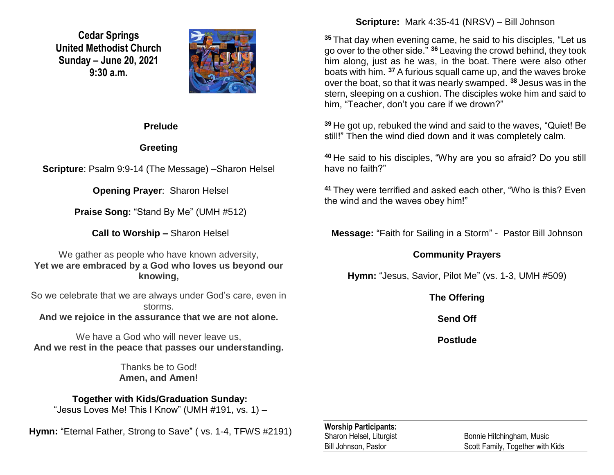**Cedar Springs United Methodist Church Sunday – June 20, 2021 9:30 a.m.**



### **Prelude**

# **Greeting**

**Scripture**: Psalm 9:9-14 (The Message) –Sharon Helsel

**Opening Prayer**: Sharon Helsel

**Praise Song:** "Stand By Me" (UMH #512)

**Call to Worship –** Sharon Helsel

We gather as people who have known adversity, **Yet we are embraced by a God who loves us beyond our knowing,**

So we celebrate that we are always under God's care, even in storms.

**And we rejoice in the assurance that we are not alone.**

We have a God who will never leave us. **And we rest in the peace that passes our understanding.**

> Thanks be to God! **Amen, and Amen!**

# **Together with Kids/Graduation Sunday:**

"Jesus Loves Me! This I Know" (UMH #191, vs. 1) -

**Hymn:** "Eternal Father, Strong to Save" ( vs. 1-4, TFWS #2191)

## **Scripture:** Mark 4:35-41 (NRSV) – Bill Johnson

**<sup>35</sup>** That day when evening came, he said to his disciples, "Let us go over to the other side." **<sup>36</sup>** Leaving the crowd behind, they took him along, just as he was, in the boat. There were also other boats with him. **<sup>37</sup>** A furious squall came up, and the waves broke over the boat, so that it was nearly swamped. **<sup>38</sup>** Jesus was in the stern, sleeping on a cushion. The disciples woke him and said to him, "Teacher, don't you care if we drown?"

**<sup>39</sup>** He got up, rebuked the wind and said to the waves, "Quiet! Be still!" Then the wind died down and it was completely calm.

**<sup>40</sup>** He said to his disciples, "Why are you so afraid? Do you still have no faith?"

**<sup>41</sup>** They were terrified and asked each other, "Who is this? Even the wind and the waves obey him!"

**Message:** "Faith for Sailing in a Storm" - Pastor Bill Johnson

## **Community Prayers**

**Hymn:** "Jesus, Savior, Pilot Me" (vs. 1-3, UMH #509)

**The Offering**

**Send Off**

**Postlude**

### **Worship Participants:**

Sharon Helsel, Liturgist Bonnie Hitchingham, Music Bill Johnson, Pastor Scott Family, Together with Kids